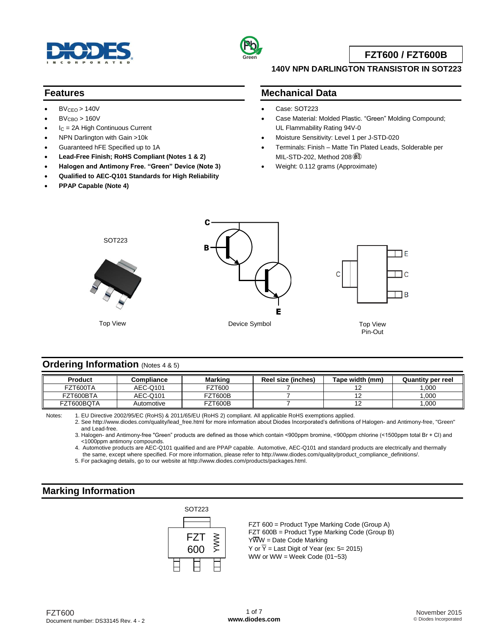



**FZT600 / FZT600B**

### **140V NPN DARLINGTON TRANSISTOR IN SOT223**

#### **Features**

- $BV<sub>CEO</sub> > 140V$
- $BV<sub>CBO</sub> > 160V$
- $I_C = 2A$  High Continuous Current
- NPN Darlington with Gain >10k
- Guaranteed hFE Specified up to 1A
- **Lead-Free Finish; RoHS Compliant (Notes 1 & 2)**
- **Halogen and Antimony Free. "Green" Device (Note 3)**
- **Qualified to AEC-Q101 Standards for High Reliability**
- **PPAP Capable (Note 4)**

### **Mechanical Data**

- Case: SOT223
- Case Material: Molded Plastic. "Green" Molding Compound; UL Flammability Rating 94V-0
- Moisture Sensitivity: Level 1 per J-STD-020
- Terminals: Finish Matte Tin Plated Leads, Solderable per MIL-STD-202, Method 208 3
- Weight: 0.112 grams (Approximate)



#### **Ordering Information** (Notes <sup>4</sup> & 5)

| <b>Product</b> | Compliance | Marking            | Reel size (inches) | Tape width (mm) | <b>Quantity per reel</b> |
|----------------|------------|--------------------|--------------------|-----------------|--------------------------|
| FZT600TA       | AEC-Q101   | <sup>=</sup> ZT600 |                    |                 | ,000                     |
| FZT600BTA      | AEC-Q101   | <b>FZT600B</b>     |                    |                 | .000                     |
| FZT600BQTA     | Automotive | FZT600B            |                    | -               | ,000                     |

Notes: 1. EU Directive 2002/95/EC (RoHS) & 2011/65/EU (RoHS 2) compliant. All applicable RoHS exemptions applied.

2. See [http://www.diodes.com/quality/lead\\_free.html](http://www.diodes.com/quality/lead_free.html) for more information about Diodes Incorporated's definitions of Halogen- and Antimony-free, "Green" and Lead-free.

3. Halogen- and Antimony-free "Green" products are defined as those which contain <900ppm bromine, <900ppm chlorine (<1500ppm total Br + Cl) and <1000ppm antimony compounds.

4. Automotive products are AEC-Q101 qualified and are PPAP capable. Automotive, AEC-Q101 and standard products are electrically and thermally the same, except where specified. For more information, please refer to [http://www.diodes.com/quality/product\\_compliance\\_definitions/.](http://www.diodes.com/quality/product_compliance_definitions/)

5. For packaging details, go to our website at [http://www.diodes.com/products/packages.html.](http://www.diodes.com/products/packages.html)

### **Marking Information**



FZT 600 = Product Type Marking Code (Group A) FZT 600B = Product Type Marking Code (Group B)  $Y\overline{W}W =$  Date Code Marking Y or  $\overline{Y}$  = Last Digit of Year (ex: 5= 2015) WW or WW = Week Code  $(01-53)$ 

FZT600 Document number: DS33145 Rev. 4 - 2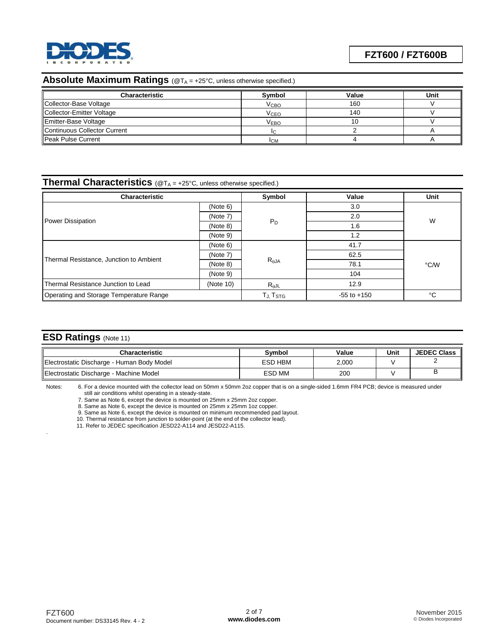

# **Absolute Maximum Ratings** (@T<sub>A</sub> = +25°C, unless otherwise specified.)

| Characteristic               | Symbol           | Value | Unit |
|------------------------------|------------------|-------|------|
| Collector-Base Voltage       | V <sub>CBO</sub> | 160   |      |
| Collector-Emitter Voltage    | V <sub>CEO</sub> | 140   |      |
| Emitter-Base Voltage         | <b>VEBO</b>      |       |      |
| Continuous Collector Current | IC.              |       |      |
| <b>I</b> Peak Pulse Current  | <b>ICM</b>       |       |      |

#### **Thermal Characteristics** (@T<sub>A</sub> = +25°C, unless otherwise specified.)

| <b>Characteristic</b>                   | Symbol               | Value           | Unit |      |  |
|-----------------------------------------|----------------------|-----------------|------|------|--|
|                                         | (Note 6)             |                 | 3.0  |      |  |
| <b>Power Dissipation</b>                | (Note 7)             |                 | 2.0  | W    |  |
|                                         | (Note 8)             | $P_D$           | 1.6  |      |  |
|                                         | (Note 9)             |                 | 1.2  |      |  |
|                                         | (Note 6)             |                 | 41.7 | °C/W |  |
|                                         | (Note 7)             |                 | 62.5 |      |  |
| Thermal Resistance, Junction to Ambient | (Note 8)             | $R_{\theta}$ JA | 78.1 |      |  |
|                                         | (Note 9)             |                 | 104  |      |  |
| Thermal Resistance Junction to Lead     | (Note 10)            | $R_{\theta}$ JL | 12.9 |      |  |
| Operating and Storage Temperature Range | TJ, T <sub>STG</sub> | $-55$ to $+150$ | °C   |      |  |

## **ESD Ratings** (Note 11)

.

| <b>Characteristic</b>                      | Svmbol        | Value | Unit | <b>JEDEC Class</b> |
|--------------------------------------------|---------------|-------|------|--------------------|
| Electrostatic Discharge - Human Body Model | ESD HBM       | 2.000 |      |                    |
| Electrostatic Discharge - Machine Model    | <b>ESD MM</b> | 200   |      |                    |

Notes: 6. For a device mounted with the collector lead on 50mm x 50mm 2oz copper that is on a single-sided 1.6mm FR4 PCB; device is measured under still air conditions whilst operating in a steady-state.

7. Same as Note 6, except the device is mounted on 25mm x 25mm 2oz copper.

8. Same as Note 6, except the device is mounted on 25mm x 25mm 1oz copper.

9. Same as Note 6, except the device is mounted on minimum recommended pad layout.

10. Thermal resistance from junction to solder-point (at the end of the collector lead).

11. Refer to JEDEC specification JESD22-A114 and JESD22-A115.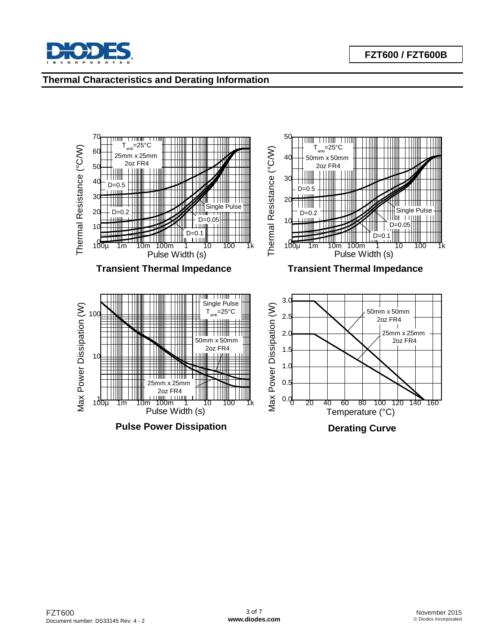

# **Thermal Characteristics and Derating Information**

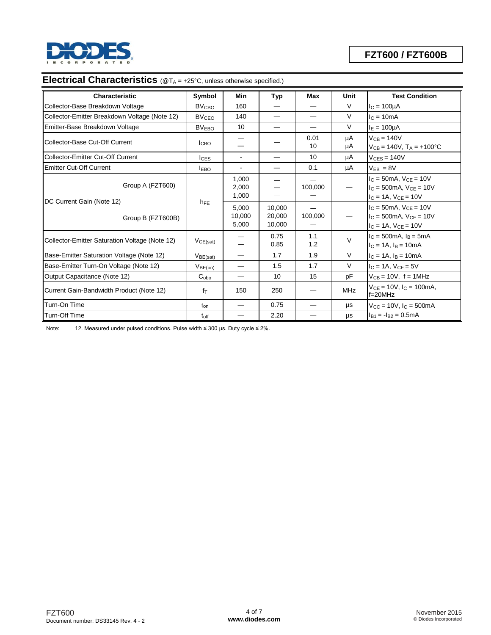

# **Electrical Characteristics** (@T<sub>A</sub> = +25°C, unless otherwise specified.)

| <b>Characteristic</b>                          | Symbol                  | Min                      | Typ                        | Max        | Unit     | <b>Test Condition</b>                                                                            |
|------------------------------------------------|-------------------------|--------------------------|----------------------------|------------|----------|--------------------------------------------------------------------------------------------------|
| Collector-Base Breakdown Voltage               | <b>BV<sub>CBO</sub></b> | 160                      |                            |            | $\vee$   | $IC = 100µA$                                                                                     |
| Collector-Emitter Breakdown Voltage (Note 12)  | <b>BV<sub>CEO</sub></b> | 140                      |                            |            | $\vee$   | $lc = 10mA$                                                                                      |
| Emitter-Base Breakdown Voltage                 | <b>BVEBO</b>            | 10                       |                            |            | $\vee$   | $I_E = 100 \mu A$                                                                                |
| Collector-Base Cut-Off Current                 | <b>I</b> CBO            |                          |                            | 0.01<br>10 | μA<br>μA | $V_{CB} = 140V$<br>$V_{CB} = 140V$ , $T_A = +100^{\circ}C$                                       |
| Collector-Emitter Cut-Off Current              | $l$ <sub>CES</sub>      | $\blacksquare$           |                            | 10         | μA       | $V_{CES} = 140V$                                                                                 |
| <b>IEmitter Cut-Off Current</b>                | <b>IEBO</b>             |                          |                            | 0.1        | μA       | $V_{FR} = 8V$                                                                                    |
| Group A (FZT600)                               | h <sub>FE</sub>         | 1,000<br>2,000<br>1,000  |                            | 100,000    |          | $I_C = 50mA$ , $V_{CE} = 10V$<br>$I_C = 500$ mA, $V_{CE} = 10V$<br>$I_C = 1A$ , $V_{CE} = 10V$   |
| DC Current Gain (Note 12)<br>Group B (FZT600B) |                         | 5,000<br>10,000<br>5,000 | 10,000<br>20,000<br>10,000 | 100,000    |          | $I_{C} = 50$ mA, $V_{CE} = 10V$<br>$I_C = 500$ mA, $V_{CE} = 10V$<br>$I_C = 1A$ , $V_{CE} = 10V$ |
| Collector-Emitter Saturation Voltage (Note 12) | VCE(sat)                |                          | 0.75<br>0.85               | 1.1<br>1.2 | $\vee$   | $I_C = 500mA$ , $I_B = 5mA$<br>$I_C = 1A$ , $I_B = 10mA$                                         |
| Base-Emitter Saturation Voltage (Note 12)      | $V_{BE(sat)}$           |                          | 1.7                        | 1.9        | $\vee$   | $I_C = 1A$ , $I_B = 10mA$                                                                        |
| Base-Emitter Turn-On Voltage (Note 12)         | $V_{BE(on)}$            |                          | 1.5                        | 1.7        | $\vee$   | $I_C = 1A$ , $V_{CE} = 5V$                                                                       |
| Output Capacitance (Note 12)                   | C <sub>obo</sub>        |                          | 10                         | 15         | pF       | $V_{CB} = 10V$ , $f = 1MHz$                                                                      |
| Current Gain-Bandwidth Product (Note 12)       | $f_{\text{T}}$          | 150                      | 250                        |            | MHz      | $V_{CE} = 10V$ , $I_C = 100$ mA,<br>$f=20MHz$                                                    |
| Turn-On Time                                   | $t_{on}$                |                          | 0.75                       |            | μs       | $V_{CC} = 10V$ , $I_C = 500mA$                                                                   |
| Turn-Off Time                                  | $t_{\rm off}$           |                          | 2.20                       |            | $\mu s$  | $I_{B1} = -I_{B2} = 0.5mA$                                                                       |

Note: 12. Measured under pulsed conditions. Pulse width ≤ 300 µs. Duty cycle ≤ 2%.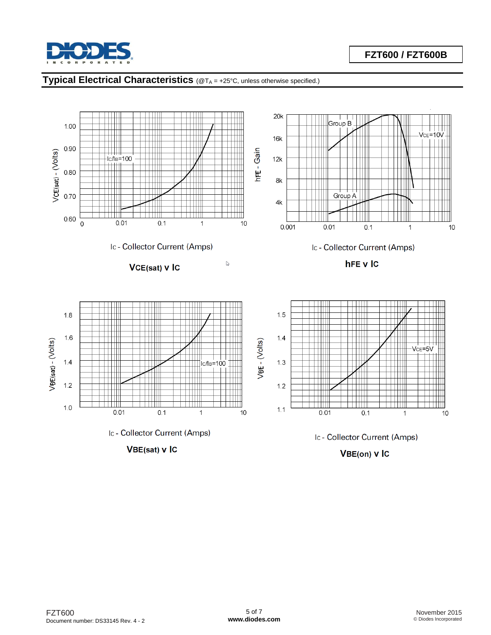

# **Typical Electrical Characteristics** (@T<sup>A</sup> = +25°C, unless otherwise specified.)

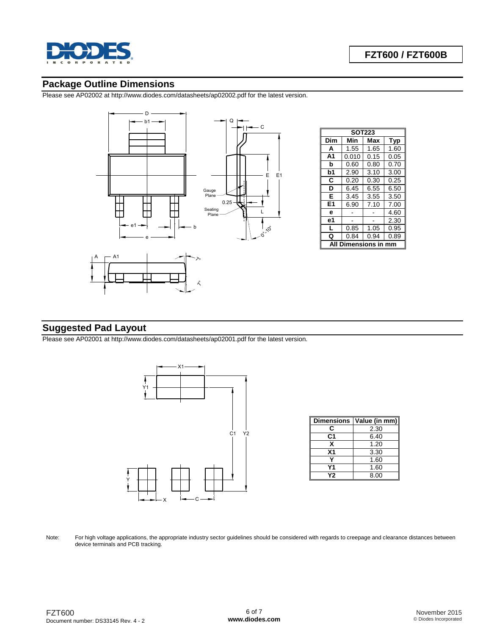

## **Package Outline Dimensions**

Please see AP02002 at [http://www.diodes.com/datasheets/ap02002.pdf fo](http://www.diodes.com/datasheets/ap02002.pdf)r the latest version.



| <b>SOT223</b>  |       |      |      |  |  |
|----------------|-------|------|------|--|--|
| Dim            | Min   | Max  | Typ  |  |  |
| A              | 1.55  | 1.65 | 1.60 |  |  |
| A <sub>1</sub> | 0.010 | 0.15 | 0.05 |  |  |
| b              | 0.60  | 0.80 | 0.70 |  |  |
| b1             | 2.90  | 3.10 | 3.00 |  |  |
| C              | 0.20  | 0.30 | 0.25 |  |  |
| D              | 6.45  | 6.55 | 6.50 |  |  |
| Е              | 3.45  | 3.55 | 3.50 |  |  |
| E1             | 6.90  | 7.10 | 7.00 |  |  |
| e              |       |      | 4.60 |  |  |
| e1             |       |      | 2.30 |  |  |
| L              | 0.85  | 1.05 | 0.95 |  |  |
| Q              | 0.84  | 0.94 | 0.89 |  |  |
| Dimensions i   |       |      |      |  |  |

# **Suggested Pad Layout**

Please see AP02001 at [http://www.diodes.com/datasheets/ap02001.pdf fo](http://www.diodes.com/datasheets/ap02001.pdf)r the latest version.



| <b>Dimensions</b> | Value (in mm) |
|-------------------|---------------|
| С                 | 2.30          |
| C1                | 6.40          |
| x                 | 1.20          |
| Χ1                | 3.30          |
|                   | 1.60          |
| Υ1                | 1.60          |
| Υ2                | 8.00          |

Note: For high voltage applications, the appropriate industry sector guidelines should be considered with regards to creepage and clearance distances between device terminals and PCB tracking.